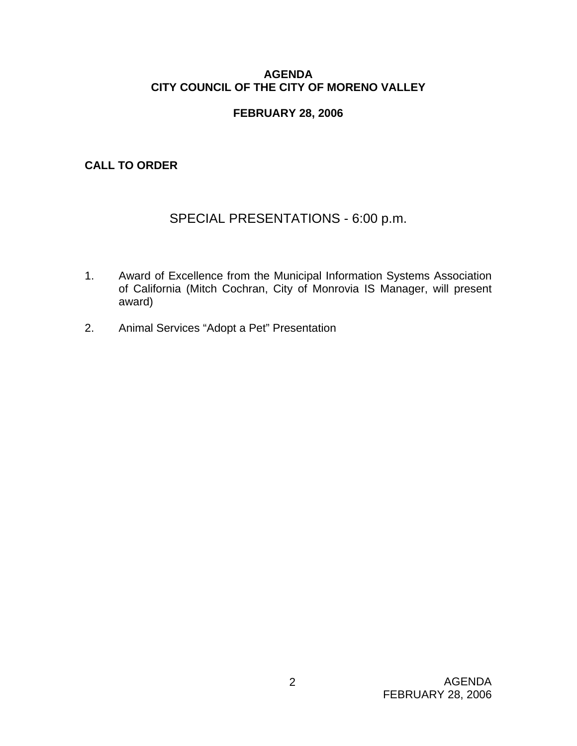### **AGENDA CITY COUNCIL OF THE CITY OF MORENO VALLEY**

# **FEBRUARY 28, 2006**

**CALL TO ORDER** 

# SPECIAL PRESENTATIONS - 6:00 p.m.

- 1. Award of Excellence from the Municipal Information Systems Association of California (Mitch Cochran, City of Monrovia IS Manager, will present award)
- 2. Animal Services "Adopt a Pet" Presentation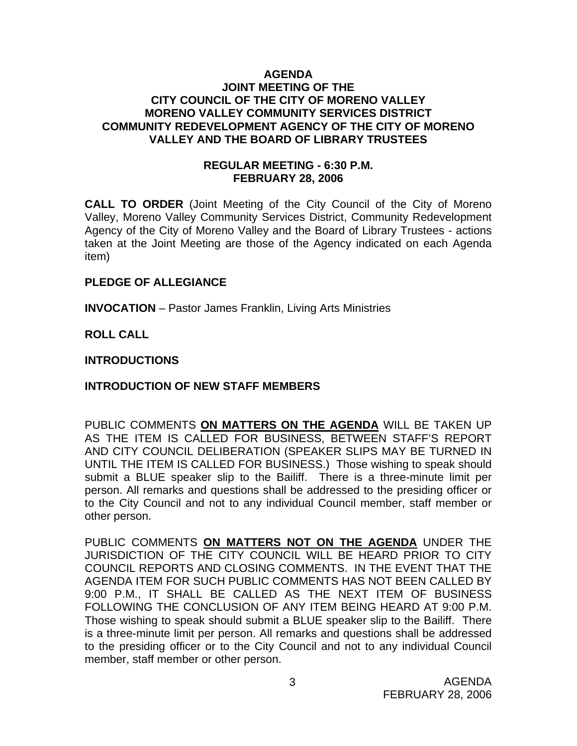#### **AGENDA JOINT MEETING OF THE CITY COUNCIL OF THE CITY OF MORENO VALLEY MORENO VALLEY COMMUNITY SERVICES DISTRICT COMMUNITY REDEVELOPMENT AGENCY OF THE CITY OF MORENO VALLEY AND THE BOARD OF LIBRARY TRUSTEES**

### **REGULAR MEETING - 6:30 P.M. FEBRUARY 28, 2006**

**CALL TO ORDER** (Joint Meeting of the City Council of the City of Moreno Valley, Moreno Valley Community Services District, Community Redevelopment Agency of the City of Moreno Valley and the Board of Library Trustees - actions taken at the Joint Meeting are those of the Agency indicated on each Agenda item)

#### **PLEDGE OF ALLEGIANCE**

**INVOCATION** – Pastor James Franklin, Living Arts Ministries

# **ROLL CALL**

# **INTRODUCTIONS**

# **INTRODUCTION OF NEW STAFF MEMBERS**

PUBLIC COMMENTS **ON MATTERS ON THE AGENDA** WILL BE TAKEN UP AS THE ITEM IS CALLED FOR BUSINESS, BETWEEN STAFF'S REPORT AND CITY COUNCIL DELIBERATION (SPEAKER SLIPS MAY BE TURNED IN UNTIL THE ITEM IS CALLED FOR BUSINESS.) Those wishing to speak should submit a BLUE speaker slip to the Bailiff. There is a three-minute limit per person. All remarks and questions shall be addressed to the presiding officer or to the City Council and not to any individual Council member, staff member or other person.

PUBLIC COMMENTS **ON MATTERS NOT ON THE AGENDA** UNDER THE JURISDICTION OF THE CITY COUNCIL WILL BE HEARD PRIOR TO CITY COUNCIL REPORTS AND CLOSING COMMENTS. IN THE EVENT THAT THE AGENDA ITEM FOR SUCH PUBLIC COMMENTS HAS NOT BEEN CALLED BY 9:00 P.M., IT SHALL BE CALLED AS THE NEXT ITEM OF BUSINESS FOLLOWING THE CONCLUSION OF ANY ITEM BEING HEARD AT 9:00 P.M. Those wishing to speak should submit a BLUE speaker slip to the Bailiff. There is a three-minute limit per person. All remarks and questions shall be addressed to the presiding officer or to the City Council and not to any individual Council member, staff member or other person.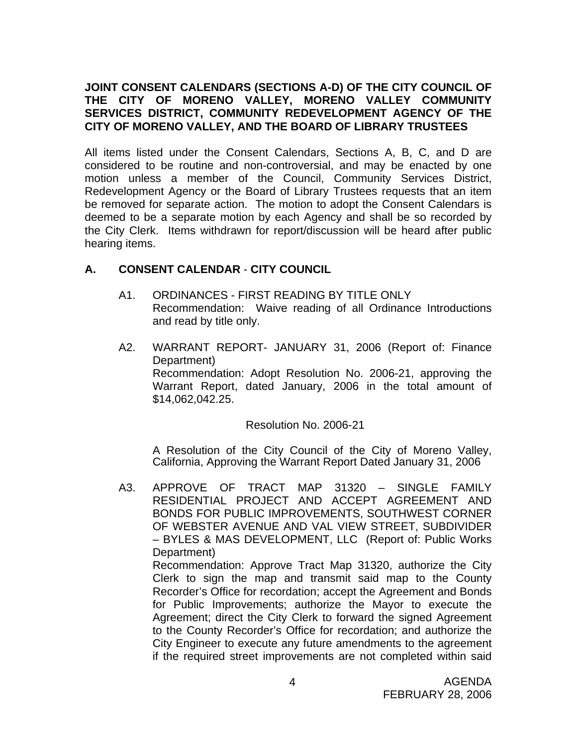# **JOINT CONSENT CALENDARS (SECTIONS A-D) OF THE CITY COUNCIL OF THE CITY OF MORENO VALLEY, MORENO VALLEY COMMUNITY SERVICES DISTRICT, COMMUNITY REDEVELOPMENT AGENCY OF THE CITY OF MORENO VALLEY, AND THE BOARD OF LIBRARY TRUSTEES**

All items listed under the Consent Calendars, Sections A, B, C, and D are considered to be routine and non-controversial, and may be enacted by one motion unless a member of the Council, Community Services District, Redevelopment Agency or the Board of Library Trustees requests that an item be removed for separate action. The motion to adopt the Consent Calendars is deemed to be a separate motion by each Agency and shall be so recorded by the City Clerk. Items withdrawn for report/discussion will be heard after public hearing items.

# **A. CONSENT CALENDAR** - **CITY COUNCIL**

- A1. ORDINANCES FIRST READING BY TITLE ONLY Recommendation: Waive reading of all Ordinance Introductions and read by title only.
- A2. WARRANT REPORT- JANUARY 31, 2006 (Report of: Finance Department) Recommendation: Adopt Resolution No. 2006-21, approving the Warrant Report, dated January, 2006 in the total amount of \$14,062,042.25.

#### Resolution No. 2006-21

 A Resolution of the City Council of the City of Moreno Valley, California, Approving the Warrant Report Dated January 31, 2006

A3. APPROVE OF TRACT MAP 31320 – SINGLE FAMILY RESIDENTIAL PROJECT AND ACCEPT AGREEMENT AND BONDS FOR PUBLIC IMPROVEMENTS, SOUTHWEST CORNER OF WEBSTER AVENUE AND VAL VIEW STREET, SUBDIVIDER – BYLES & MAS DEVELOPMENT, LLC (Report of: Public Works Department) Recommendation: Approve Tract Map 31320, authorize the City Clerk to sign the map and transmit said map to the County Recorder's Office for recordation; accept the Agreement and Bonds for Public Improvements; authorize the Mayor to execute the Agreement; direct the City Clerk to forward the signed Agreement to the County Recorder's Office for recordation; and authorize the City Engineer to execute any future amendments to the agreement if the required street improvements are not completed within said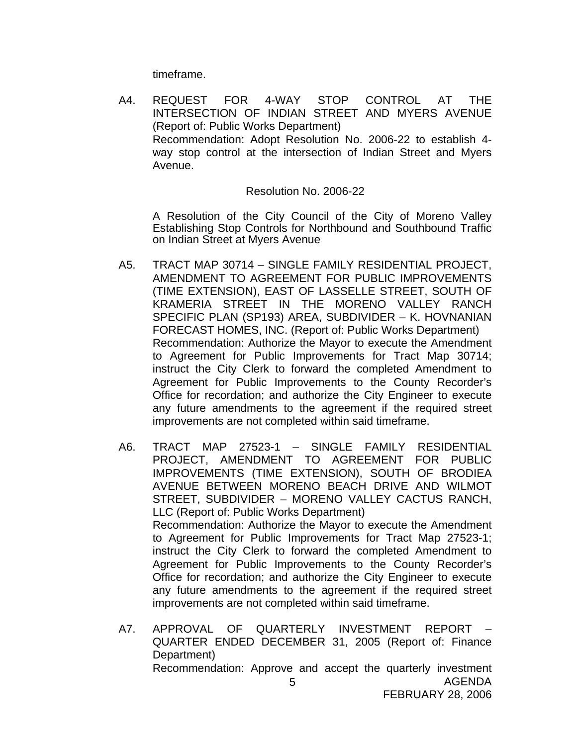timeframe.

A4. REQUEST FOR 4-WAY STOP CONTROL AT THE INTERSECTION OF INDIAN STREET AND MYERS AVENUE (Report of: Public Works Department) Recommendation: Adopt Resolution No. 2006-22 to establish 4 way stop control at the intersection of Indian Street and Myers Avenue.

#### Resolution No. 2006-22

A Resolution of the City Council of the City of Moreno Valley Establishing Stop Controls for Northbound and Southbound Traffic on Indian Street at Myers Avenue

- A5. TRACT MAP 30714 SINGLE FAMILY RESIDENTIAL PROJECT, AMENDMENT TO AGREEMENT FOR PUBLIC IMPROVEMENTS (TIME EXTENSION), EAST OF LASSELLE STREET, SOUTH OF KRAMERIA STREET IN THE MORENO VALLEY RANCH SPECIFIC PLAN (SP193) AREA, SUBDIVIDER – K. HOVNANIAN FORECAST HOMES, INC. (Report of: Public Works Department) Recommendation: Authorize the Mayor to execute the Amendment to Agreement for Public Improvements for Tract Map 30714; instruct the City Clerk to forward the completed Amendment to Agreement for Public Improvements to the County Recorder's Office for recordation; and authorize the City Engineer to execute any future amendments to the agreement if the required street improvements are not completed within said timeframe.
- A6. TRACT MAP 27523-1 SINGLE FAMILY RESIDENTIAL PROJECT, AMENDMENT TO AGREEMENT FOR PUBLIC IMPROVEMENTS (TIME EXTENSION), SOUTH OF BRODIEA AVENUE BETWEEN MORENO BEACH DRIVE AND WILMOT STREET, SUBDIVIDER – MORENO VALLEY CACTUS RANCH, LLC (Report of: Public Works Department) Recommendation: Authorize the Mayor to execute the Amendment to Agreement for Public Improvements for Tract Map 27523-1; instruct the City Clerk to forward the completed Amendment to Agreement for Public Improvements to the County Recorder's Office for recordation; and authorize the City Engineer to execute any future amendments to the agreement if the required street improvements are not completed within said timeframe.
- AGENDA 5 A7. APPROVAL OF QUARTERLY INVESTMENT REPORT – QUARTER ENDED DECEMBER 31, 2005 (Report of: Finance Department) Recommendation: Approve and accept the quarterly investment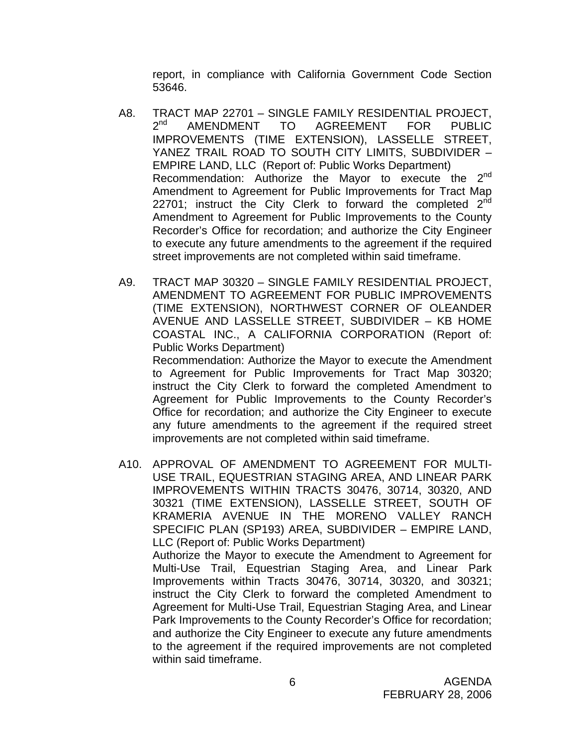report, in compliance with California Government Code Section 53646.

- A8. TRACT MAP 22701 SINGLE FAMILY RESIDENTIAL PROJECT,<br>2<sup>nd</sup> AMENDMENT TO AGREEMENT FOR PUBLIC AMENDMENT TO AGREEMENT FOR PUBLIC IMPROVEMENTS (TIME EXTENSION), LASSELLE STREET, YANEZ TRAIL ROAD TO SOUTH CITY LIMITS, SUBDIVIDER – EMPIRE LAND, LLC (Report of: Public Works Department) Recommendation: Authorize the Mayor to execute the 2<sup>nd</sup> Amendment to Agreement for Public Improvements for Tract Map 22701; instruct the City Clerk to forward the completed  $2^{nd}$ Amendment to Agreement for Public Improvements to the County Recorder's Office for recordation; and authorize the City Engineer to execute any future amendments to the agreement if the required street improvements are not completed within said timeframe.
- A9. TRACT MAP 30320 SINGLE FAMILY RESIDENTIAL PROJECT, AMENDMENT TO AGREEMENT FOR PUBLIC IMPROVEMENTS (TIME EXTENSION), NORTHWEST CORNER OF OLEANDER AVENUE AND LASSELLE STREET, SUBDIVIDER – KB HOME COASTAL INC., A CALIFORNIA CORPORATION (Report of: Public Works Department)

 Recommendation: Authorize the Mayor to execute the Amendment to Agreement for Public Improvements for Tract Map 30320; instruct the City Clerk to forward the completed Amendment to Agreement for Public Improvements to the County Recorder's Office for recordation; and authorize the City Engineer to execute any future amendments to the agreement if the required street improvements are not completed within said timeframe.

A10. APPROVAL OF AMENDMENT TO AGREEMENT FOR MULTI-USE TRAIL, EQUESTRIAN STAGING AREA, AND LINEAR PARK IMPROVEMENTS WITHIN TRACTS 30476, 30714, 30320, AND 30321 (TIME EXTENSION), LASSELLE STREET, SOUTH OF KRAMERIA AVENUE IN THE MORENO VALLEY RANCH SPECIFIC PLAN (SP193) AREA, SUBDIVIDER – EMPIRE LAND, LLC (Report of: Public Works Department) Authorize the Mayor to execute the Amendment to Agreement for Multi-Use Trail, Equestrian Staging Area, and Linear Park

Improvements within Tracts 30476, 30714, 30320, and 30321; instruct the City Clerk to forward the completed Amendment to Agreement for Multi-Use Trail, Equestrian Staging Area, and Linear Park Improvements to the County Recorder's Office for recordation; and authorize the City Engineer to execute any future amendments to the agreement if the required improvements are not completed within said timeframe.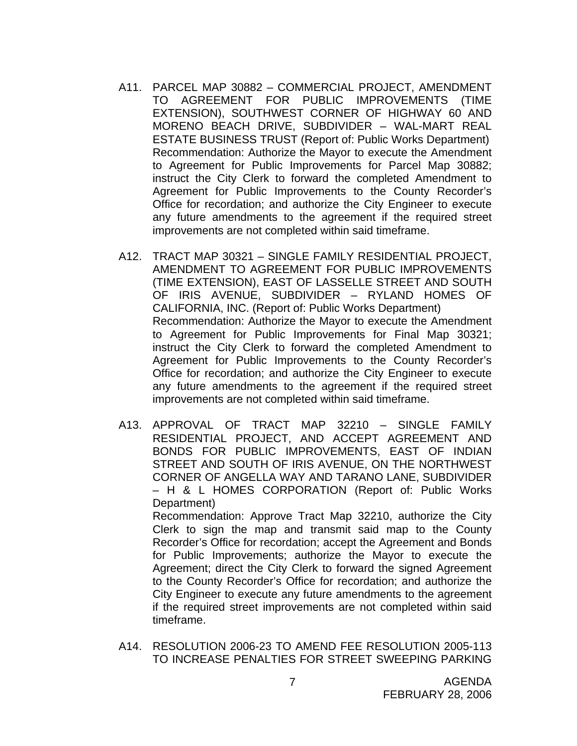- A11. PARCEL MAP 30882 COMMERCIAL PROJECT, AMENDMENT TO AGREEMENT FOR PUBLIC IMPROVEMENTS (TIME EXTENSION), SOUTHWEST CORNER OF HIGHWAY 60 AND MORENO BEACH DRIVE, SUBDIVIDER – WAL-MART REAL ESTATE BUSINESS TRUST (Report of: Public Works Department) Recommendation: Authorize the Mayor to execute the Amendment to Agreement for Public Improvements for Parcel Map 30882; instruct the City Clerk to forward the completed Amendment to Agreement for Public Improvements to the County Recorder's Office for recordation; and authorize the City Engineer to execute any future amendments to the agreement if the required street improvements are not completed within said timeframe.
- A12. TRACT MAP 30321 SINGLE FAMILY RESIDENTIAL PROJECT, AMENDMENT TO AGREEMENT FOR PUBLIC IMPROVEMENTS (TIME EXTENSION), EAST OF LASSELLE STREET AND SOUTH OF IRIS AVENUE, SUBDIVIDER – RYLAND HOMES OF CALIFORNIA, INC. (Report of: Public Works Department) Recommendation: Authorize the Mayor to execute the Amendment to Agreement for Public Improvements for Final Map 30321; instruct the City Clerk to forward the completed Amendment to Agreement for Public Improvements to the County Recorder's Office for recordation; and authorize the City Engineer to execute any future amendments to the agreement if the required street improvements are not completed within said timeframe.
- A13. APPROVAL OF TRACT MAP 32210 SINGLE FAMILY RESIDENTIAL PROJECT, AND ACCEPT AGREEMENT AND BONDS FOR PUBLIC IMPROVEMENTS, EAST OF INDIAN STREET AND SOUTH OF IRIS AVENUE, ON THE NORTHWEST CORNER OF ANGELLA WAY AND TARANO LANE, SUBDIVIDER – H & L HOMES CORPORATION (Report of: Public Works Department)

 Recommendation: Approve Tract Map 32210, authorize the City Clerk to sign the map and transmit said map to the County Recorder's Office for recordation; accept the Agreement and Bonds for Public Improvements; authorize the Mayor to execute the Agreement; direct the City Clerk to forward the signed Agreement to the County Recorder's Office for recordation; and authorize the City Engineer to execute any future amendments to the agreement if the required street improvements are not completed within said timeframe.

A14. RESOLUTION 2006-23 TO AMEND FEE RESOLUTION 2005-113 TO INCREASE PENALTIES FOR STREET SWEEPING PARKING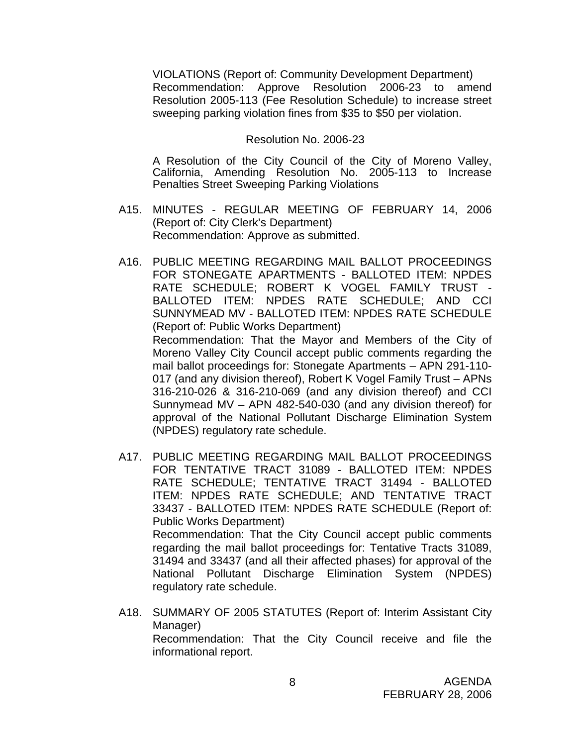VIOLATIONS (Report of: Community Development Department) Recommendation: Approve Resolution 2006-23 to amend Resolution 2005-113 (Fee Resolution Schedule) to increase street sweeping parking violation fines from \$35 to \$50 per violation.

#### Resolution No. 2006-23

A Resolution of the City Council of the City of Moreno Valley, California, Amending Resolution No. 2005-113 to Increase Penalties Street Sweeping Parking Violations

- A15. MINUTES REGULAR MEETING OF FEBRUARY 14, 2006 (Report of: City Clerk's Department) Recommendation: Approve as submitted.
- A16. PUBLIC MEETING REGARDING MAIL BALLOT PROCEEDINGS FOR STONEGATE APARTMENTS - BALLOTED ITEM: NPDES RATE SCHEDULE; ROBERT K VOGEL FAMILY TRUST - BALLOTED ITEM: NPDES RATE SCHEDULE; AND CCI SUNNYMEAD MV - BALLOTED ITEM: NPDES RATE SCHEDULE (Report of: Public Works Department) Recommendation: That the Mayor and Members of the City of Moreno Valley City Council accept public comments regarding the mail ballot proceedings for: Stonegate Apartments – APN 291-110- 017 (and any division thereof), Robert K Vogel Family Trust – APNs 316-210-026 & 316-210-069 (and any division thereof) and CCI Sunnymead MV – APN 482-540-030 (and any division thereof) for approval of the National Pollutant Discharge Elimination System (NPDES) regulatory rate schedule.
- A17. PUBLIC MEETING REGARDING MAIL BALLOT PROCEEDINGS FOR TENTATIVE TRACT 31089 - BALLOTED ITEM: NPDES RATE SCHEDULE; TENTATIVE TRACT 31494 - BALLOTED ITEM: NPDES RATE SCHEDULE; AND TENTATIVE TRACT 33437 - BALLOTED ITEM: NPDES RATE SCHEDULE (Report of: Public Works Department) Recommendation: That the City Council accept public comments regarding the mail ballot proceedings for: Tentative Tracts 31089, 31494 and 33437 (and all their affected phases) for approval of the National Pollutant Discharge Elimination System (NPDES) regulatory rate schedule.
- A18. SUMMARY OF 2005 STATUTES (Report of: Interim Assistant City Manager) Recommendation: That the City Council receive and file the informational report.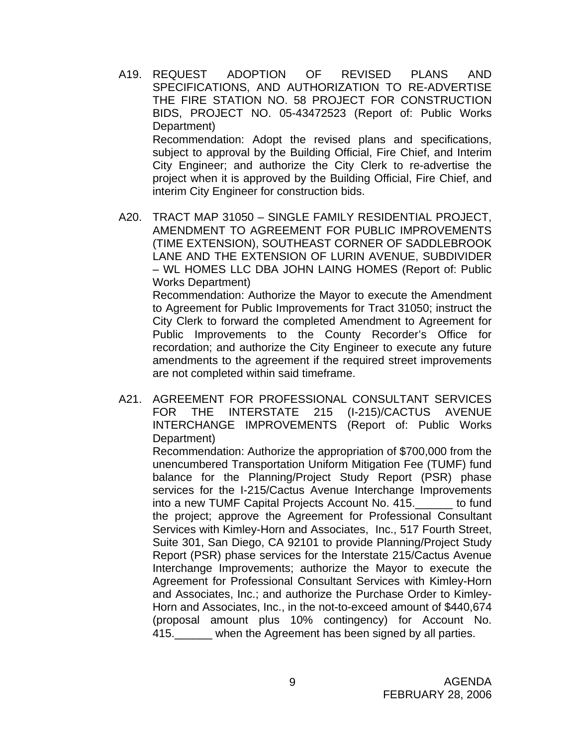- A19. REQUEST ADOPTION OF REVISED PLANS AND SPECIFICATIONS, AND AUTHORIZATION TO RE-ADVERTISE THE FIRE STATION NO. 58 PROJECT FOR CONSTRUCTION BIDS, PROJECT NO. 05-43472523 (Report of: Public Works Department) Recommendation: Adopt the revised plans and specifications, subject to approval by the Building Official, Fire Chief, and Interim City Engineer; and authorize the City Clerk to re-advertise the project when it is approved by the Building Official, Fire Chief, and interim City Engineer for construction bids.
- A20. TRACT MAP 31050 SINGLE FAMILY RESIDENTIAL PROJECT, AMENDMENT TO AGREEMENT FOR PUBLIC IMPROVEMENTS (TIME EXTENSION), SOUTHEAST CORNER OF SADDLEBROOK LANE AND THE EXTENSION OF LURIN AVENUE, SUBDIVIDER – WL HOMES LLC DBA JOHN LAING HOMES (Report of: Public Works Department)

 Recommendation: Authorize the Mayor to execute the Amendment to Agreement for Public Improvements for Tract 31050; instruct the City Clerk to forward the completed Amendment to Agreement for Public Improvements to the County Recorder's Office for recordation; and authorize the City Engineer to execute any future amendments to the agreement if the required street improvements are not completed within said timeframe.

A21. AGREEMENT FOR PROFESSIONAL CONSULTANT SERVICES FOR THE INTERSTATE 215 (I-215)/CACTUS AVENUE INTERCHANGE IMPROVEMENTS (Report of: Public Works Department)

 Recommendation: Authorize the appropriation of \$700,000 from the unencumbered Transportation Uniform Mitigation Fee (TUMF) fund balance for the Planning/Project Study Report (PSR) phase services for the I-215/Cactus Avenue Interchange Improvements into a new TUMF Capital Projects Account No. 415.\_\_\_\_\_\_ to fund the project; approve the Agreement for Professional Consultant Services with Kimley-Horn and Associates, Inc., 517 Fourth Street, Suite 301, San Diego, CA 92101 to provide Planning/Project Study Report (PSR) phase services for the Interstate 215/Cactus Avenue Interchange Improvements; authorize the Mayor to execute the Agreement for Professional Consultant Services with Kimley-Horn and Associates, Inc.; and authorize the Purchase Order to Kimley-Horn and Associates, Inc., in the not-to-exceed amount of \$440,674 (proposal amount plus 10% contingency) for Account No. 415. When the Agreement has been signed by all parties.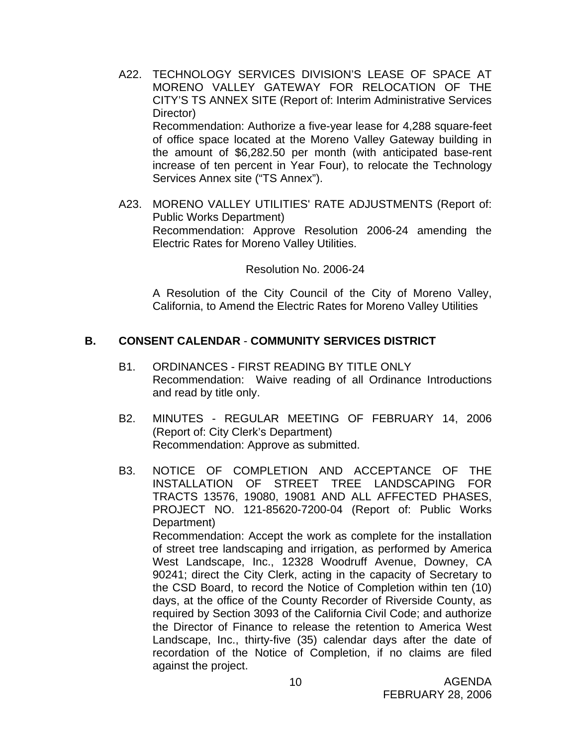- A22. TECHNOLOGY SERVICES DIVISION'S LEASE OF SPACE AT MORENO VALLEY GATEWAY FOR RELOCATION OF THE CITY'S TS ANNEX SITE (Report of: Interim Administrative Services Director) Recommendation: Authorize a five-year lease for 4,288 square-feet of office space located at the Moreno Valley Gateway building in the amount of \$6,282.50 per month (with anticipated base-rent increase of ten percent in Year Four), to relocate the Technology Services Annex site ("TS Annex").
- A23. MORENO VALLEY UTILITIES' RATE ADJUSTMENTS (Report of: Public Works Department) Recommendation: Approve Resolution 2006-24 amending the Electric Rates for Moreno Valley Utilities.

Resolution No. 2006-24

A Resolution of the City Council of the City of Moreno Valley, California, to Amend the Electric Rates for Moreno Valley Utilities

# **B. CONSENT CALENDAR** - **COMMUNITY SERVICES DISTRICT**

- B1. ORDINANCES FIRST READING BY TITLE ONLY Recommendation: Waive reading of all Ordinance Introductions and read by title only.
- B2. MINUTES REGULAR MEETING OF FEBRUARY 14, 2006 (Report of: City Clerk's Department) Recommendation: Approve as submitted.
- B3. NOTICE OF COMPLETION AND ACCEPTANCE OF THE INSTALLATION OF STREET TREE LANDSCAPING FOR TRACTS 13576, 19080, 19081 AND ALL AFFECTED PHASES, PROJECT NO. 121-85620-7200-04 (Report of: Public Works Department) Recommendation: Accept the work as complete for the installation of street tree landscaping and irrigation, as performed by America West Landscape, Inc., 12328 Woodruff Avenue, Downey, CA 90241; direct the City Clerk, acting in the capacity of Secretary to the CSD Board, to record the Notice of Completion within ten (10) days, at the office of the County Recorder of Riverside County, as required by Section 3093 of the California Civil Code; and authorize the Director of Finance to release the retention to America West Landscape, Inc., thirty-five (35) calendar days after the date of recordation of the Notice of Completion, if no claims are filed against the project.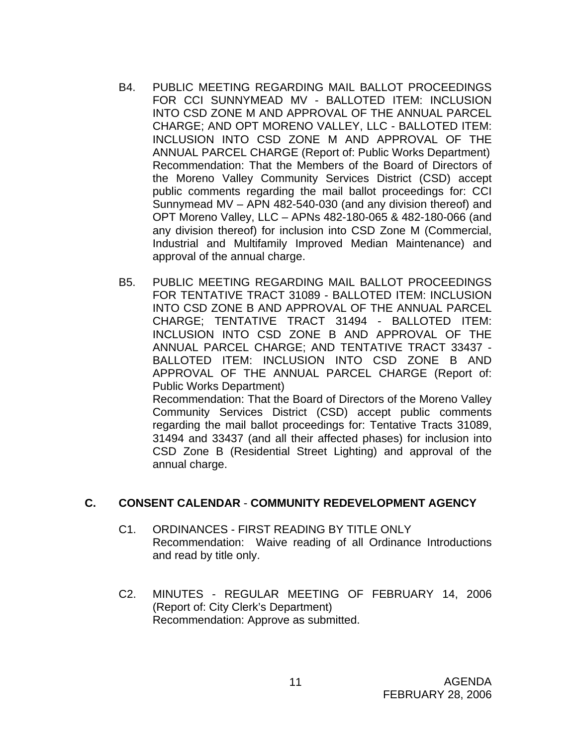- B4. PUBLIC MEETING REGARDING MAIL BALLOT PROCEEDINGS FOR CCI SUNNYMEAD MV - BALLOTED ITEM: INCLUSION INTO CSD ZONE M AND APPROVAL OF THE ANNUAL PARCEL CHARGE; AND OPT MORENO VALLEY, LLC - BALLOTED ITEM: INCLUSION INTO CSD ZONE M AND APPROVAL OF THE ANNUAL PARCEL CHARGE (Report of: Public Works Department) Recommendation: That the Members of the Board of Directors of the Moreno Valley Community Services District (CSD) accept public comments regarding the mail ballot proceedings for: CCI Sunnymead MV – APN 482-540-030 (and any division thereof) and OPT Moreno Valley, LLC – APNs 482-180-065 & 482-180-066 (and any division thereof) for inclusion into CSD Zone M (Commercial, Industrial and Multifamily Improved Median Maintenance) and approval of the annual charge.
- B5. PUBLIC MEETING REGARDING MAIL BALLOT PROCEEDINGS FOR TENTATIVE TRACT 31089 - BALLOTED ITEM: INCLUSION INTO CSD ZONE B AND APPROVAL OF THE ANNUAL PARCEL CHARGE; TENTATIVE TRACT 31494 - BALLOTED ITEM: INCLUSION INTO CSD ZONE B AND APPROVAL OF THE ANNUAL PARCEL CHARGE; AND TENTATIVE TRACT 33437 - BALLOTED ITEM: INCLUSION INTO CSD ZONE B AND APPROVAL OF THE ANNUAL PARCEL CHARGE (Report of: Public Works Department) Recommendation: That the Board of Directors of the Moreno Valley Community Services District (CSD) accept public comments

regarding the mail ballot proceedings for: Tentative Tracts 31089, 31494 and 33437 (and all their affected phases) for inclusion into CSD Zone B (Residential Street Lighting) and approval of the annual charge.

#### **C. CONSENT CALENDAR** - **COMMUNITY REDEVELOPMENT AGENCY**

- C1. ORDINANCES FIRST READING BY TITLE ONLY Recommendation: Waive reading of all Ordinance Introductions and read by title only.
- C2. MINUTES REGULAR MEETING OF FEBRUARY 14, 2006 (Report of: City Clerk's Department) Recommendation: Approve as submitted.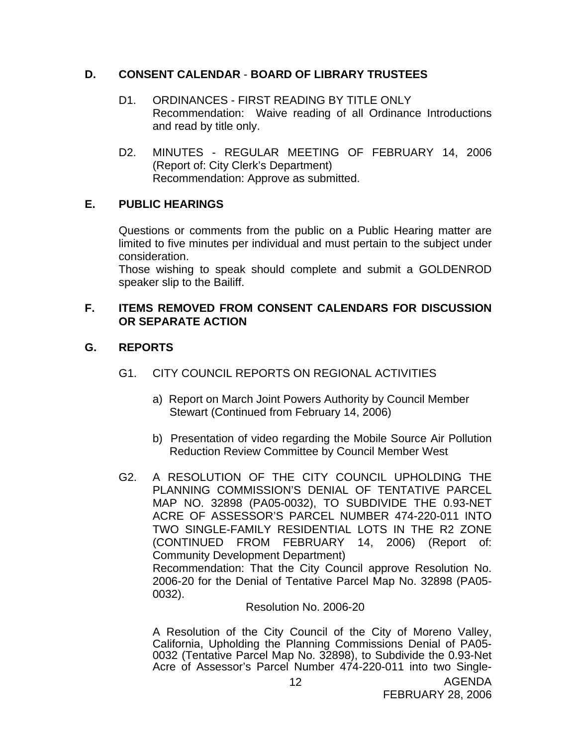### **D. CONSENT CALENDAR** - **BOARD OF LIBRARY TRUSTEES**

- D1. ORDINANCES FIRST READING BY TITLE ONLY Recommendation: Waive reading of all Ordinance Introductions and read by title only.
- D2. MINUTES REGULAR MEETING OF FEBRUARY 14, 2006 (Report of: City Clerk's Department) Recommendation: Approve as submitted.

# **E. PUBLIC HEARINGS**

Questions or comments from the public on a Public Hearing matter are limited to five minutes per individual and must pertain to the subject under consideration.

 Those wishing to speak should complete and submit a GOLDENROD speaker slip to the Bailiff.

#### **F. ITEMS REMOVED FROM CONSENT CALENDARS FOR DISCUSSION OR SEPARATE ACTION**

# **G. REPORTS**

- G1. CITY COUNCIL REPORTS ON REGIONAL ACTIVITIES
	- a) Report on March Joint Powers Authority by Council Member Stewart (Continued from February 14, 2006)
	- b) Presentation of video regarding the Mobile Source Air Pollution Reduction Review Committee by Council Member West
- G2. A RESOLUTION OF THE CITY COUNCIL UPHOLDING THE PLANNING COMMISSION'S DENIAL OF TENTATIVE PARCEL MAP NO. 32898 (PA05-0032), TO SUBDIVIDE THE 0.93-NET ACRE OF ASSESSOR'S PARCEL NUMBER 474-220-011 INTO TWO SINGLE-FAMILY RESIDENTIAL LOTS IN THE R2 ZONE (CONTINUED FROM FEBRUARY 14, 2006) (Report of: Community Development Department) Recommendation: That the City Council approve Resolution No. 2006-20 for the Denial of Tentative Parcel Map No. 32898 (PA05- 0032).

#### Resolution No. 2006-20

 A Resolution of the City Council of the City of Moreno Valley, California, Upholding the Planning Commissions Denial of PA05- 0032 (Tentative Parcel Map No. 32898), to Subdivide the 0.93-Net Acre of Assessor's Parcel Number 474-220-011 into two Single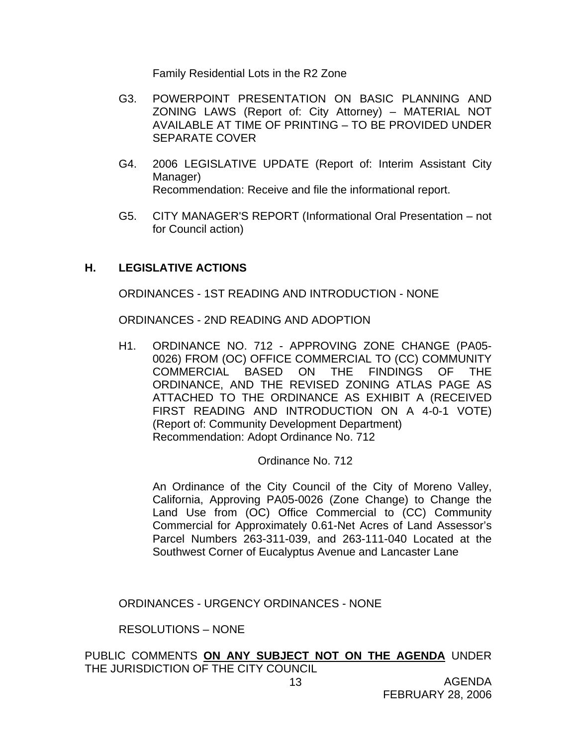Family Residential Lots in the R2 Zone

- G3. POWERPOINT PRESENTATION ON BASIC PLANNING AND ZONING LAWS (Report of: City Attorney) – MATERIAL NOT AVAILABLE AT TIME OF PRINTING – TO BE PROVIDED UNDER SEPARATE COVER
- G4. 2006 LEGISLATIVE UPDATE (Report of: Interim Assistant City Manager) Recommendation: Receive and file the informational report.
- G5. CITY MANAGER'S REPORT (Informational Oral Presentation not for Council action)

#### **H. LEGISLATIVE ACTIONS**

ORDINANCES - 1ST READING AND INTRODUCTION - NONE

ORDINANCES - 2ND READING AND ADOPTION

H1. ORDINANCE NO. 712 - APPROVING ZONE CHANGE (PA05- 0026) FROM (OC) OFFICE COMMERCIAL TO (CC) COMMUNITY COMMERCIAL BASED ON THE FINDINGS OF THE ORDINANCE, AND THE REVISED ZONING ATLAS PAGE AS ATTACHED TO THE ORDINANCE AS EXHIBIT A (RECEIVED FIRST READING AND INTRODUCTION ON A 4-0-1 VOTE) (Report of: Community Development Department) Recommendation: Adopt Ordinance No. 712

Ordinance No. 712

An Ordinance of the City Council of the City of Moreno Valley, California, Approving PA05-0026 (Zone Change) to Change the Land Use from (OC) Office Commercial to (CC) Community Commercial for Approximately 0.61-Net Acres of Land Assessor's Parcel Numbers 263-311-039, and 263-111-040 Located at the Southwest Corner of Eucalyptus Avenue and Lancaster Lane

ORDINANCES - URGENCY ORDINANCES - NONE

RESOLUTIONS – NONE

PUBLIC COMMENTS **ON ANY SUBJECT NOT ON THE AGENDA** UNDER THE JURISDICTION OF THE CITY COUNCIL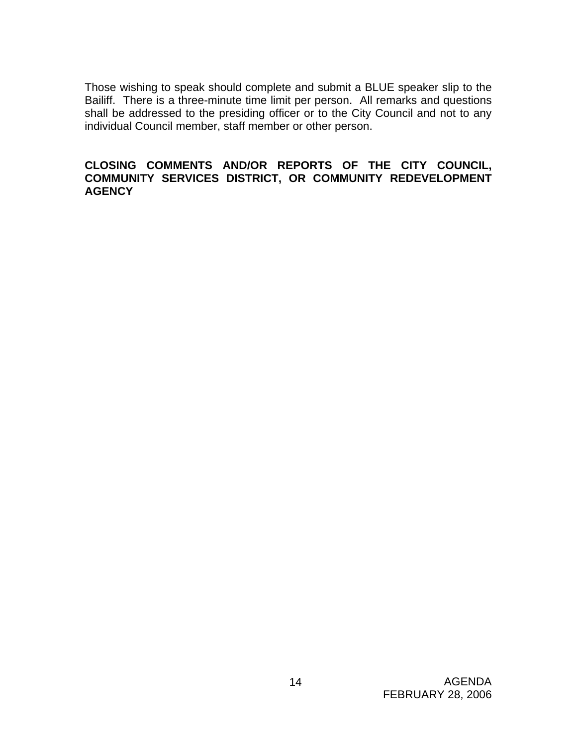Those wishing to speak should complete and submit a BLUE speaker slip to the Bailiff. There is a three-minute time limit per person. All remarks and questions shall be addressed to the presiding officer or to the City Council and not to any individual Council member, staff member or other person.

#### **CLOSING COMMENTS AND/OR REPORTS OF THE CITY COUNCIL, COMMUNITY SERVICES DISTRICT, OR COMMUNITY REDEVELOPMENT AGENCY**